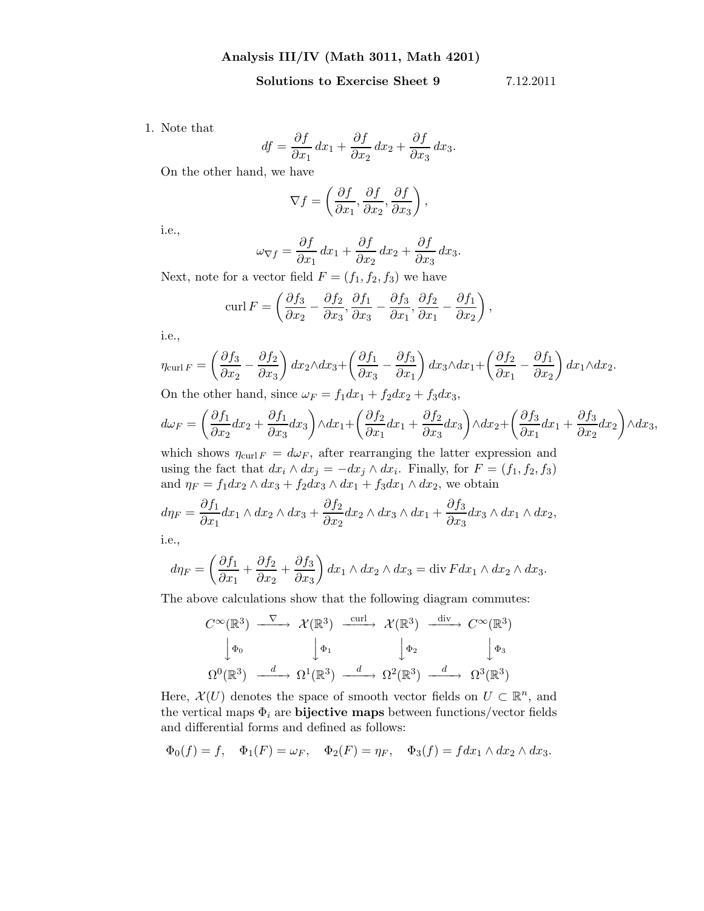Solutions to Exercise Sheet 9 7.12.2011

1. Note that

$$
df = \frac{\partial f}{\partial x_1} dx_1 + \frac{\partial f}{\partial x_2} dx_2 + \frac{\partial f}{\partial x_3} dx_3.
$$

On the other hand, we have

$$
\nabla f = \left(\frac{\partial f}{\partial x_1}, \frac{\partial f}{\partial x_2}, \frac{\partial f}{\partial x_3}\right),\,
$$

i.e.,

$$
\omega_{\nabla f} = \frac{\partial f}{\partial x_1} dx_1 + \frac{\partial f}{\partial x_2} dx_2 + \frac{\partial f}{\partial x_3} dx_3.
$$

Next, note for a vector field  $F = (f_1, f_2, f_3)$  we have

$$
\operatorname{curl} F = \left(\frac{\partial f_3}{\partial x_2} - \frac{\partial f_2}{\partial x_3}, \frac{\partial f_1}{\partial x_3} - \frac{\partial f_3}{\partial x_1}, \frac{\partial f_2}{\partial x_1} - \frac{\partial f_1}{\partial x_2}\right),\,
$$

i.e.,

$$
\eta_{\text{curl }F} = \left(\frac{\partial f_3}{\partial x_2} - \frac{\partial f_2}{\partial x_3}\right) dx_2 \wedge dx_3 + \left(\frac{\partial f_1}{\partial x_3} - \frac{\partial f_3}{\partial x_1}\right) dx_3 \wedge dx_1 + \left(\frac{\partial f_2}{\partial x_1} - \frac{\partial f_1}{\partial x_2}\right) dx_1 \wedge dx_2.
$$

On the other hand, since  $\omega_F = f_1 dx_1 + f_2 dx_2 + f_3 dx_3$ ,

$$
d\omega_F = \left(\frac{\partial f_1}{\partial x_2}dx_2 + \frac{\partial f_1}{\partial x_3}dx_3\right) \wedge dx_1 + \left(\frac{\partial f_2}{\partial x_1}dx_1 + \frac{\partial f_2}{\partial x_3}dx_3\right) \wedge dx_2 + \left(\frac{\partial f_3}{\partial x_1}dx_1 + \frac{\partial f_3}{\partial x_2}dx_2\right) \wedge dx_3,
$$

which shows  $\eta_{\text{curl }F} = d\omega_F$ , after rearranging the latter expression and using the fact that  $dx_i \wedge dx_j = -dx_j \wedge dx_i$ . Finally, for  $F = (f_1, f_2, f_3)$ and  $\eta_F = f_1 dx_2 \wedge dx_3 + f_2 dx_3 \wedge dx_1 + f_3 dx_1 \wedge dx_2$ , we obtain

$$
d\eta_F = \frac{\partial f_1}{\partial x_1} dx_1 \wedge dx_2 \wedge dx_3 + \frac{\partial f_2}{\partial x_2} dx_2 \wedge dx_3 \wedge dx_1 + \frac{\partial f_3}{\partial x_3} dx_3 \wedge dx_1 \wedge dx_2,
$$

i.e.,

$$
d\eta_F = \left(\frac{\partial f_1}{\partial x_1} + \frac{\partial f_2}{\partial x_2} + \frac{\partial f_3}{\partial x_3}\right) dx_1 \wedge dx_2 \wedge dx_3 = \text{div } F dx_1 \wedge dx_2 \wedge dx_3.
$$

The above calculations show that the following diagram commutes:

$$
C^{\infty}(\mathbb{R}^{3}) \xrightarrow{\nabla} \mathcal{X}(\mathbb{R}^{3}) \xrightarrow{\text{curl}} \mathcal{X}(\mathbb{R}^{3}) \xrightarrow{\text{div}} C^{\infty}(\mathbb{R}^{3})
$$
  

$$
\downarrow_{\Phi_{0}} \qquad \qquad \downarrow_{\Phi_{1}} \qquad \qquad \downarrow_{\Phi_{2}} \qquad \qquad \downarrow_{\Phi_{3}}
$$
  

$$
\Omega^{0}(\mathbb{R}^{3}) \xrightarrow{d} \Omega^{1}(\mathbb{R}^{3}) \xrightarrow{d} \Omega^{2}(\mathbb{R}^{3}) \xrightarrow{d} \Omega^{3}(\mathbb{R}^{3})
$$

Here,  $\mathcal{X}(U)$  denotes the space of smooth vector fields on  $U \subset \mathbb{R}^n$ , and the vertical maps  $\Phi_i$  are **bijective maps** between functions/vector fields and differential forms and defined as follows:

$$
\Phi_0(f) = f
$$
,  $\Phi_1(F) = \omega_F$ ,  $\Phi_2(F) = \eta_F$ ,  $\Phi_3(f) = f dx_1 \wedge dx_2 \wedge dx_3$ .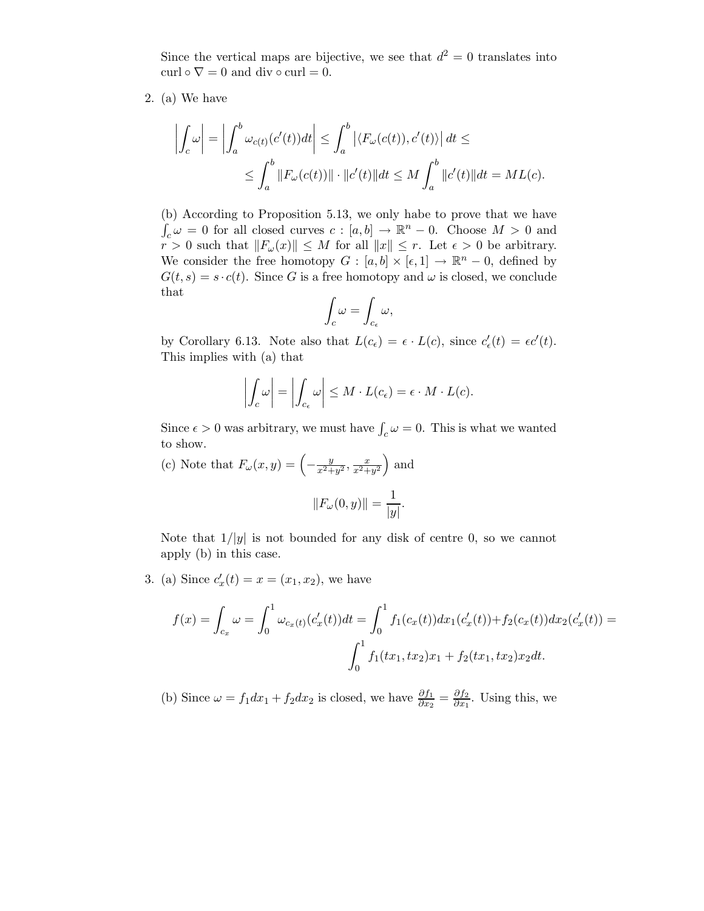Since the vertical maps are bijective, we see that  $d^2 = 0$  translates into curl  $\circ \nabla = 0$  and div  $\circ$  curl = 0.

2. (a) We have

$$
\left| \int_c \omega \right| = \left| \int_a^b \omega_{c(t)}(c'(t))dt \right| \leq \int_a^b \left| \langle F_\omega(c(t)), c'(t) \rangle \right| dt \leq
$$
  

$$
\leq \int_a^b \left\| F_\omega(c(t)) \right\| \cdot \left\| c'(t) \right\| dt \leq M \int_a^b \left\| c'(t) \right\| dt = ML(c).
$$

(b) According to Proposition 5.13, we only habe to prove that we have  $\int_c \omega = 0$  for all closed curves  $c : [a, b] \to \mathbb{R}^n - 0$ . Choose  $M > 0$  and  $r > 0$  such that  $||F_{\omega}(x)|| \leq M$  for all  $||x|| \leq r$ . Let  $\epsilon > 0$  be arbitrary. We consider the free homotopy  $G : [a, b] \times [\epsilon, 1] \rightarrow \mathbb{R}^n - 0$ , defined by  $G(t, s) = s \cdot c(t)$ . Since G is a free homotopy and  $\omega$  is closed, we conclude that

$$
\int_c \omega = \int_{c_{\epsilon}} \omega,
$$

by Corollary 6.13. Note also that  $L(c_{\epsilon}) = \epsilon \cdot L(c)$ , since  $c'_{\epsilon}$  $\epsilon'_{\epsilon}(t) = \epsilon c'(t).$ This implies with (a) that

$$
\left| \int_c \omega \right| = \left| \int_{c_{\epsilon}} \omega \right| \leq M \cdot L(c_{\epsilon}) = \epsilon \cdot M \cdot L(c).
$$

Since  $\epsilon > 0$  was arbitrary, we must have  $\int_c \omega = 0$ . This is what we wanted to show.

(c) Note that  $F_{\omega}(x,y) = \left(-\frac{y}{x^2+y^2}, \frac{x}{x^2+y^2}\right)$  and  $||F_{\omega}(0, y)|| = \frac{1}{|x|}$  $\frac{1}{|y|}$ .

Note that  $1/|y|$  is not bounded for any disk of centre 0, so we cannot apply (b) in this case.

3. (a) Since  $c'_i$  $x'_x(t) = x = (x_1, x_2)$ , we have

$$
f(x) = \int_{c_x} \omega = \int_0^1 \omega_{c_x(t)}(c'_x(t))dt = \int_0^1 f_1(c_x(t))dx_1(c'_x(t)) + f_2(c_x(t))dx_2(c'_x(t)) = \int_0^1 f_1(tx_1, tx_2)x_1 + f_2(tx_1, tx_2)x_2dt.
$$

(b) Since  $\omega = f_1 dx_1 + f_2 dx_2$  is closed, we have  $\frac{\partial f_1}{\partial x_2} = \frac{\partial f_2}{\partial x_1}$  $\frac{\partial f_2}{\partial x_1}$ . Using this, we